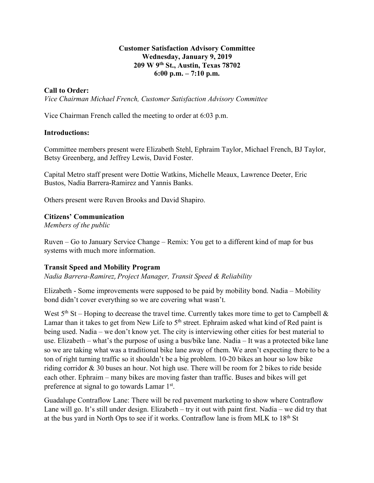## **Customer Satisfaction Advisory Committee Wednesday, January 9, 2019 209 W 9th St., Austin, Texas 78702 6:00 p.m. – 7:10 p.m.**

## **Call to Order:**

*Vice Chairman Michael French, Customer Satisfaction Advisory Committee*

Vice Chairman French called the meeting to order at 6:03 p.m.

## **Introductions:**

Committee members present were Elizabeth Stehl, Ephraim Taylor, Michael French, BJ Taylor, Betsy Greenberg, and Jeffrey Lewis, David Foster.

Capital Metro staff present were Dottie Watkins, Michelle Meaux, Lawrence Deeter, Eric Bustos, Nadia Barrera-Ramirez and Yannis Banks.

Others present were Ruven Brooks and David Shapiro.

## **Citizens' Communication**

*Members of the public*

Ruven – Go to January Service Change – Remix: You get to a different kind of map for bus systems with much more information.

## **Transit Speed and Mobility Program**

*Nadia Barrera-Ramirez*, *Project Manager, Transit Speed & Reliability*

Elizabeth - Some improvements were supposed to be paid by mobility bond. Nadia – Mobility bond didn't cover everything so we are covering what wasn't.

West  $5<sup>th</sup>$  St – Hoping to decrease the travel time. Currently takes more time to get to Campbell  $\&$ Lamar than it takes to get from New Life to  $5<sup>th</sup>$  street. Ephraim asked what kind of Red paint is being used. Nadia – we don't know yet. The city is interviewing other cities for best material to use. Elizabeth – what's the purpose of using a bus/bike lane. Nadia – It was a protected bike lane so we are taking what was a traditional bike lane away of them. We aren't expecting there to be a ton of right turning traffic so it shouldn't be a big problem. 10-20 bikes an hour so low bike riding corridor & 30 buses an hour. Not high use. There will be room for 2 bikes to ride beside each other. Ephraim – many bikes are moving faster than traffic. Buses and bikes will get preference at signal to go towards Lamar 1st.

Guadalupe Contraflow Lane: There will be red pavement marketing to show where Contraflow Lane will go. It's still under design. Elizabeth – try it out with paint first. Nadia – we did try that at the bus yard in North Ops to see if it works. Contraflow lane is from MLK to  $18<sup>th</sup>$  St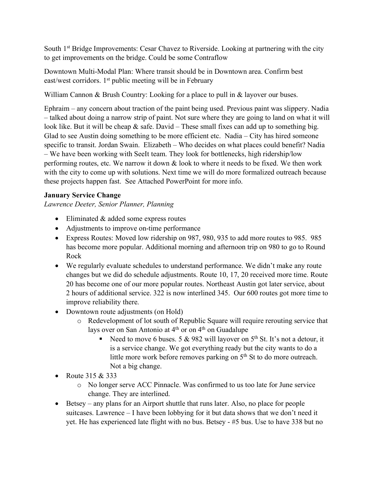South 1st Bridge Improvements: Cesar Chavez to Riverside. Looking at partnering with the city to get improvements on the bridge. Could be some Contraflow

Downtown Multi-Modal Plan: Where transit should be in Downtown area. Confirm best east/west corridors. 1<sup>st</sup> public meeting will be in February

William Cannon & Brush Country: Looking for a place to pull in & layover our buses.

Ephraim – any concern about traction of the paint being used. Previous paint was slippery. Nadia – talked about doing a narrow strip of paint. Not sure where they are going to land on what it will look like. But it will be cheap  $\&$  safe. David – These small fixes can add up to something big. Glad to see Austin doing something to be more efficient etc. Nadia – City has hired someone specific to transit. Jordan Swain. Elizabeth – Who decides on what places could benefit? Nadia – We have been working with SeeIt team. They look for bottlenecks, high ridership/low performing routes, etc. We narrow it down & look to where it needs to be fixed. We then work with the city to come up with solutions. Next time we will do more formalized outreach because these projects happen fast. See Attached PowerPoint for more info.

# **January Service Change**

*Lawrence Deeter, Senior Planner, Planning*

- Eliminated & added some express routes
- Adjustments to improve on-time performance
- Express Routes: Moved low ridership on 987, 980, 935 to add more routes to 985. 985 has become more popular. Additional morning and afternoon trip on 980 to go to Round Rock
- We regularly evaluate schedules to understand performance. We didn't make any route changes but we did do schedule adjustments. Route 10, 17, 20 received more time. Route 20 has become one of our more popular routes. Northeast Austin got later service, about 2 hours of additional service. 322 is now interlined 345. Our 600 routes got more time to improve reliability there.
- Downtown route adjustments (on Hold)
	- o Redevelopment of lot south of Republic Square will require rerouting service that lays over on San Antonio at  $4<sup>th</sup>$  or on  $4<sup>th</sup>$  on Guadalupe
		- Example 1 Need to move 6 buses. 5 & 982 will layover on 5<sup>th</sup> St. It's not a detour, it is a service change. We got everything ready but the city wants to do a little more work before removes parking on 5<sup>th</sup> St to do more outreach. Not a big change.
- Route 315 & 333
	- o No longer serve ACC Pinnacle. Was confirmed to us too late for June service change. They are interlined.
- Betsey any plans for an Airport shuttle that runs later. Also, no place for people suitcases. Lawrence – I have been lobbying for it but data shows that we don't need it yet. He has experienced late flight with no bus. Betsey - #5 bus. Use to have 338 but no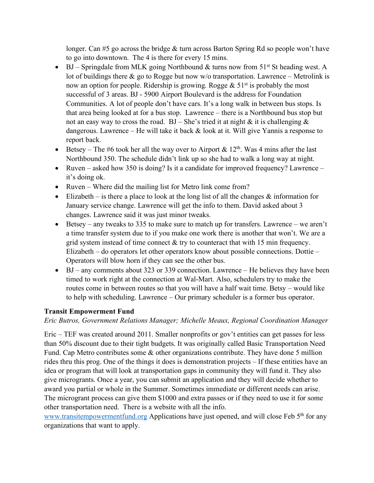longer. Can #5 go across the bridge & turn across Barton Spring Rd so people won't have to go into downtown. The 4 is there for every 15 mins.

- BJ Springdale from MLK going Northbound & turns now from  $51<sup>st</sup>$  St heading west. A lot of buildings there  $\&$  go to Rogge but now w/o transportation. Lawrence – Metrolink is now an option for people. Ridership is growing. Rogge  $\&$  51<sup>st</sup> is probably the most successful of 3 areas. BJ - 5900 Airport Boulevard is the address for Foundation Communities. A lot of people don't have cars. It's a long walk in between bus stops. Is that area being looked at for a bus stop. Lawrence – there is a Northbound bus stop but not an easy way to cross the road.  $BJ - She'$  is tried it at night & it is challenging & dangerous. Lawrence – He will take it back  $&$  look at it. Will give Yannis a response to report back.
- Betsey The #6 took her all the way over to Airport & 12<sup>th</sup>. Was 4 mins after the last Northbound 350. The schedule didn't link up so she had to walk a long way at night.
- Ruven asked how 350 is doing? Is it a candidate for improved frequency? Lawrence it's doing ok.
- Ruven Where did the mailing list for Metro link come from?
- Elizabeth is there a place to look at the long list of all the changes  $\&$  information for January service change. Lawrence will get the info to them. David asked about 3 changes. Lawrence said it was just minor tweaks.
- Betsey any tweaks to 335 to make sure to match up for transfers. Lawrence we aren't a time transfer system due to if you make one work there is another that won't. We are a grid system instead of time connect & try to counteract that with 15 min frequency. Elizabeth – do operators let other operators know about possible connections. Dottie – Operators will blow horn if they can see the other bus.
- BJ any comments about 323 or 339 connection. Lawrence He believes they have been timed to work right at the connection at Wal-Mart. Also, schedulers try to make the routes come in between routes so that you will have a half wait time. Betsy – would like to help with scheduling. Lawrence – Our primary scheduler is a former bus operator.

# **Transit Empowerment Fund**

*Eric Butros, Government Relations Manager; Michelle Meaux, Regional Coordination Manager*

Eric – TEF was created around 2011. Smaller nonprofits or gov't entities can get passes for less than 50% discount due to their tight budgets. It was originally called Basic Transportation Need Fund. Cap Metro contributes some & other organizations contribute. They have done 5 million rides thru this prog. One of the things it does is demonstration projects – If these entities have an idea or program that will look at transportation gaps in community they will fund it. They also give microgrants. Once a year, you can submit an application and they will decide whether to award you partial or whole in the Summer. Sometimes immediate or different needs can arise. The microgrant process can give them \$1000 and extra passes or if they need to use it for some other transportation need. There is a website with all the info.

www.transitempowermentfund.org Applications have just opened, and will close Feb 5<sup>th</sup> for any organizations that want to apply.